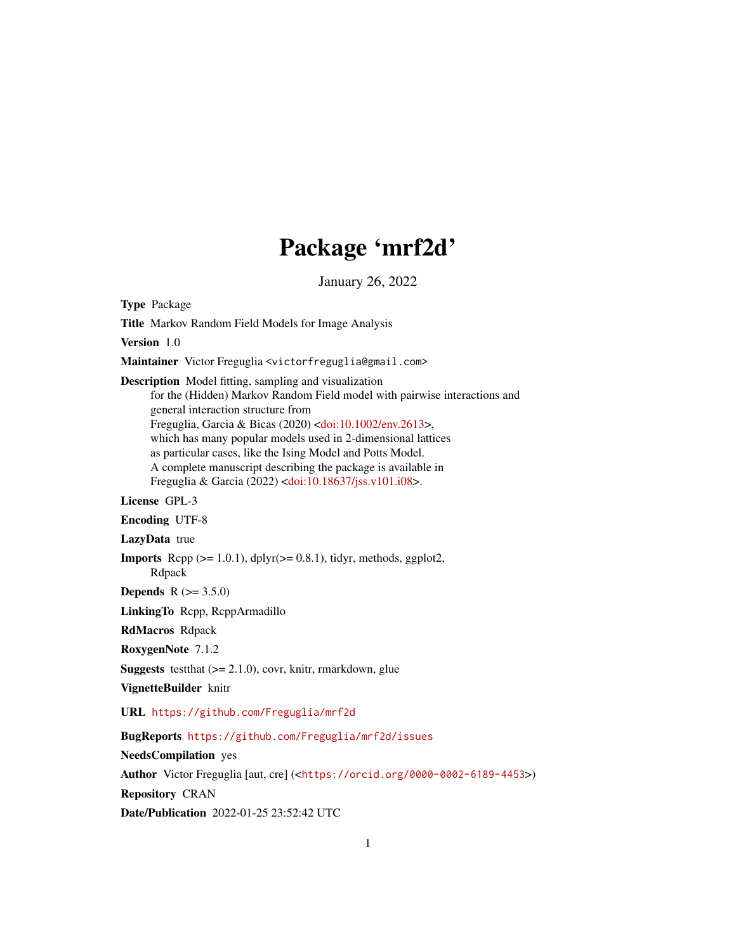# Package 'mrf2d'

January 26, 2022

<span id="page-0-0"></span>Type Package Title Markov Random Field Models for Image Analysis Version 1.0 Maintainer Victor Freguglia <victorfreguglia@gmail.com> Description Model fitting, sampling and visualization for the (Hidden) Markov Random Field model with pairwise interactions and general interaction structure from Freguglia, Garcia & Bicas (2020) [<doi:10.1002/env.2613>](https://doi.org/10.1002/env.2613), which has many popular models used in 2-dimensional lattices as particular cases, like the Ising Model and Potts Model. A complete manuscript describing the package is available in Freguglia & Garcia (2022) [<doi:10.18637/jss.v101.i08>](https://doi.org/10.18637/jss.v101.i08). License GPL-3 Encoding UTF-8 LazyData true **Imports** Rcpp  $(>= 1.0.1)$ , dplyr $(>= 0.8.1)$ , tidyr, methods, ggplot2, Rdpack **Depends** R  $(>= 3.5.0)$ LinkingTo Rcpp, RcppArmadillo RdMacros Rdpack RoxygenNote 7.1.2 **Suggests** test that  $(>= 2.1.0)$ , covr, knitr, rmarkdown, glue VignetteBuilder knitr URL <https://github.com/Freguglia/mrf2d> BugReports <https://github.com/Freguglia/mrf2d/issues> NeedsCompilation yes Author Victor Freguglia [aut, cre] (<<https://orcid.org/0000-0002-6189-4453>>) Repository CRAN

Date/Publication 2022-01-25 23:52:42 UTC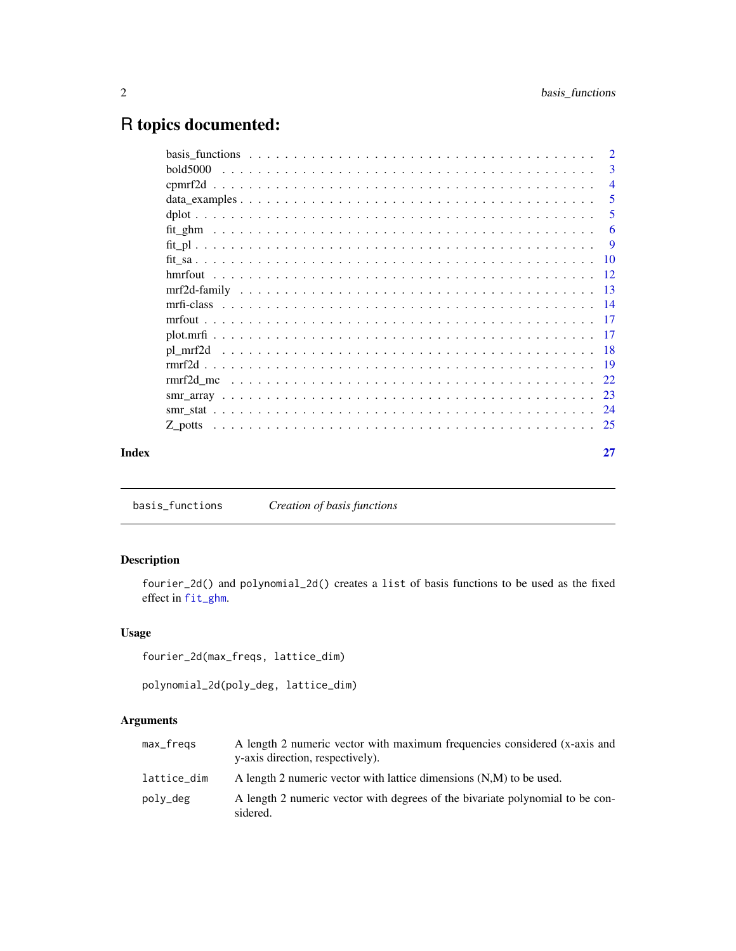# <span id="page-1-0"></span>R topics documented:

| bold5000 |       | $\overline{2}$ |
|----------|-------|----------------|
|          |       | -3             |
|          |       | $\overline{4}$ |
|          |       | 5              |
|          |       | 5              |
|          |       | -6             |
|          |       |                |
|          |       |                |
|          |       |                |
|          |       |                |
|          |       |                |
|          |       |                |
|          |       |                |
|          |       |                |
|          |       |                |
|          |       |                |
|          |       |                |
|          |       |                |
|          |       |                |
|          | Index | 27             |

<span id="page-1-1"></span>basis\_functions *Creation of basis functions*

# Description

fourier\_2d() and polynomial\_2d() creates a list of basis functions to be used as the fixed effect in [fit\\_ghm](#page-5-1).

# Usage

```
fourier_2d(max_freqs, lattice_dim)
```
polynomial\_2d(poly\_deg, lattice\_dim)

# Arguments

| max_fregs   | A length 2 numeric vector with maximum frequencies considered (x-axis and<br>y-axis direction, respectively). |
|-------------|---------------------------------------------------------------------------------------------------------------|
| lattice_dim | A length 2 numeric vector with lattice dimensions (N,M) to be used.                                           |
| poly_deg    | A length 2 numeric vector with degrees of the bivariate polynomial to be con-<br>sidered.                     |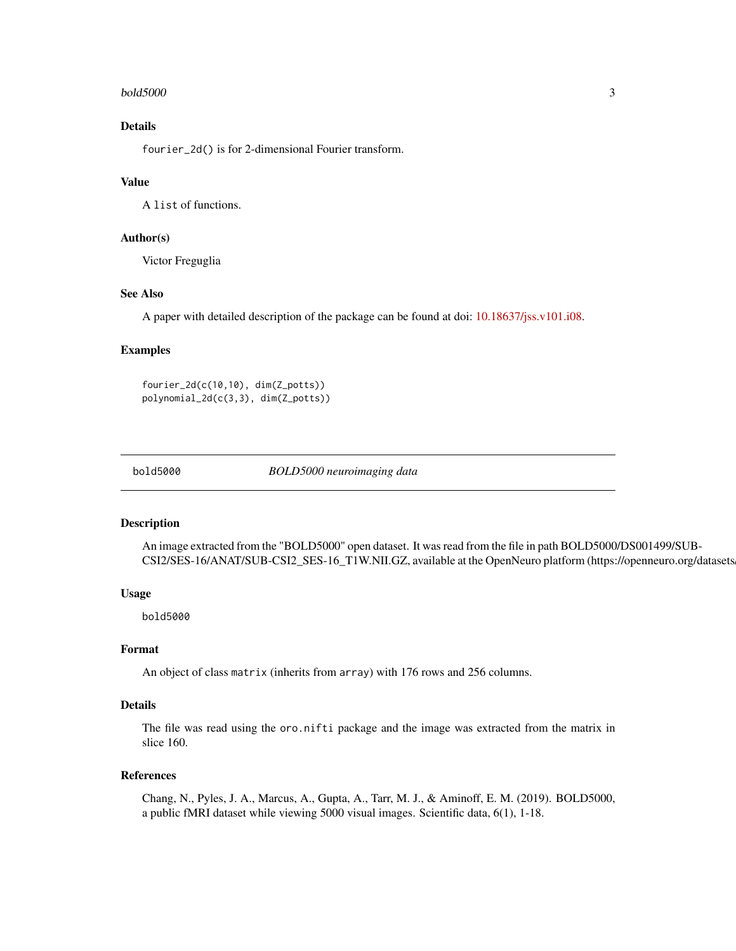#### <span id="page-2-0"></span>bold5000 3

# Details

fourier\_2d() is for 2-dimensional Fourier transform.

#### Value

A list of functions.

# Author(s)

Victor Freguglia

# See Also

A paper with detailed description of the package can be found at doi: [10.18637/jss.v101.i08.](https://doi.org/10.18637/jss.v101.i08)

#### Examples

fourier\_2d(c(10,10), dim(Z\_potts)) polynomial\_2d(c(3,3), dim(Z\_potts))

bold5000 *BOLD5000 neuroimaging data*

#### Description

An image extracted from the "BOLD5000" open dataset. It was read from the file in path BOLD5000/DS001499/SUB-CSI2/SES-16/ANAT/SUB-CSI2\_SES-16\_T1W.NII.GZ, available at the OpenNeuro platform (https://openneuro.org/datasets

# Usage

bold5000

#### Format

An object of class matrix (inherits from array) with 176 rows and 256 columns.

# Details

The file was read using the oro.nifti package and the image was extracted from the matrix in slice 160.

#### References

Chang, N., Pyles, J. A., Marcus, A., Gupta, A., Tarr, M. J., & Aminoff, E. M. (2019). BOLD5000, a public fMRI dataset while viewing 5000 visual images. Scientific data, 6(1), 1-18.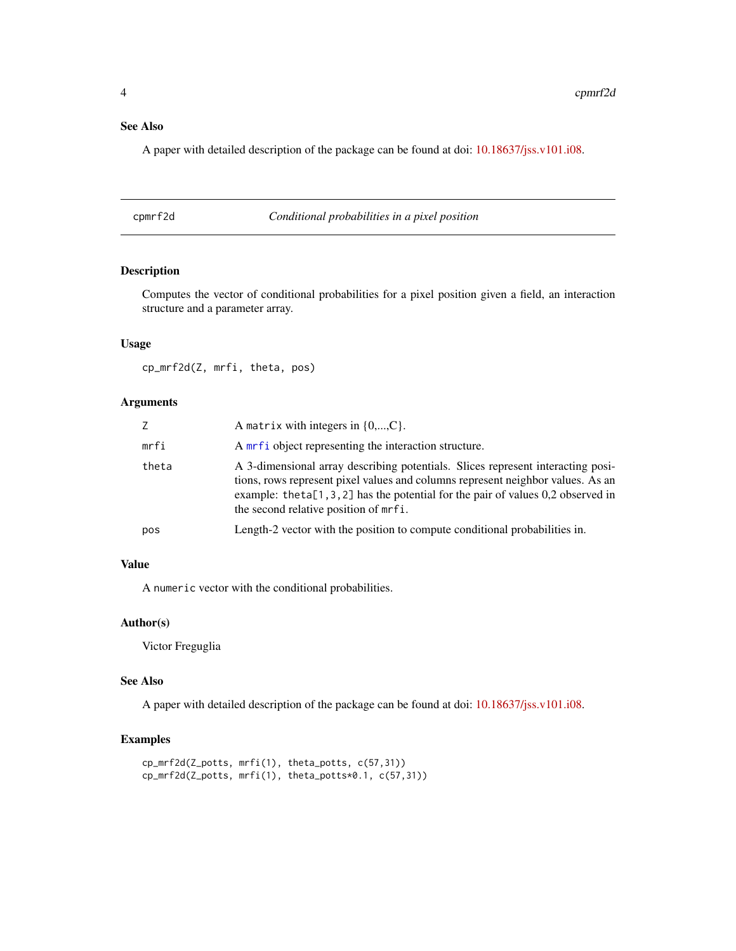# <span id="page-3-0"></span>See Also

A paper with detailed description of the package can be found at doi: [10.18637/jss.v101.i08.](https://doi.org/10.18637/jss.v101.i08)

cpmrf2d *Conditional probabilities in a pixel position*

# Description

Computes the vector of conditional probabilities for a pixel position given a field, an interaction structure and a parameter array.

# Usage

cp\_mrf2d(Z, mrfi, theta, pos)

### Arguments

| Z     | A matrix with integers in $\{0,,C\}$ .                                                                                                                                                                                                                                                              |
|-------|-----------------------------------------------------------------------------------------------------------------------------------------------------------------------------------------------------------------------------------------------------------------------------------------------------|
| mrfi  | A mrf i object representing the interaction structure.                                                                                                                                                                                                                                              |
| theta | A 3-dimensional array describing potentials. Slices represent interacting posi-<br>tions, rows represent pixel values and columns represent neighbor values. As an<br>example: the ta $[1, 3, 2]$ has the potential for the pair of values 0,2 observed in<br>the second relative position of mrfi. |
| pos   | Length-2 vector with the position to compute conditional probabilities in.                                                                                                                                                                                                                          |

# Value

A numeric vector with the conditional probabilities.

#### Author(s)

Victor Freguglia

#### See Also

A paper with detailed description of the package can be found at doi: [10.18637/jss.v101.i08.](https://doi.org/10.18637/jss.v101.i08)

# Examples

```
cp_mrf2d(Z_potts, mrfi(1), theta_potts, c(57,31))
cp_mrf2d(Z_potts, mrfi(1), theta_potts*0.1, c(57,31))
```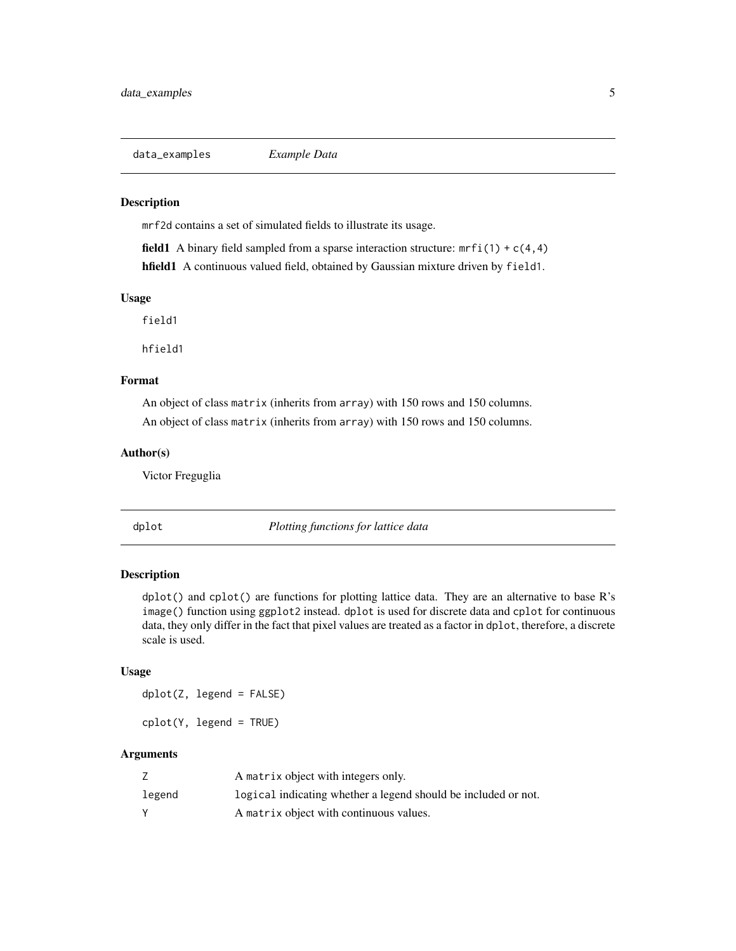<span id="page-4-0"></span>data\_examples *Example Data*

#### Description

mrf2d contains a set of simulated fields to illustrate its usage.

field1 A binary field sampled from a sparse interaction structure:  $mrfi(1) + c(4,4)$ hfield1 A continuous valued field, obtained by Gaussian mixture driven by field1.

#### Usage

field1

hfield1

#### Format

An object of class matrix (inherits from array) with 150 rows and 150 columns. An object of class matrix (inherits from array) with 150 rows and 150 columns.

#### Author(s)

Victor Freguglia

dplot *Plotting functions for lattice data*

# Description

dplot() and cplot() are functions for plotting lattice data. They are an alternative to base R's image() function using ggplot2 instead. dplot is used for discrete data and cplot for continuous data, they only differ in the fact that pixel values are treated as a factor in dplot, therefore, a discrete scale is used.

#### Usage

dplot(Z, legend = FALSE)

cplot(Y, legend = TRUE)

#### Arguments

|        | A matrix object with integers only.                            |
|--------|----------------------------------------------------------------|
| legend | logical indicating whether a legend should be included or not. |
|        | A matrix object with continuous values.                        |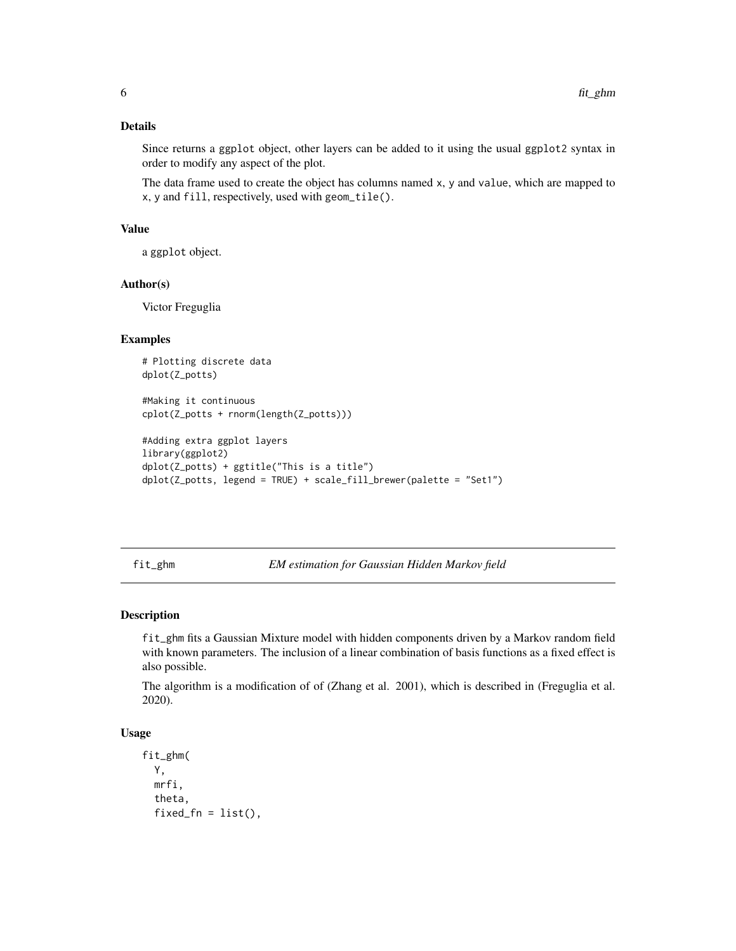# <span id="page-5-0"></span>Details

Since returns a ggplot object, other layers can be added to it using the usual ggplot2 syntax in order to modify any aspect of the plot.

The data frame used to create the object has columns named x, y and value, which are mapped to x, y and fill, respectively, used with geom\_tile().

#### Value

a ggplot object.

#### Author(s)

Victor Freguglia

#### Examples

```
# Plotting discrete data
dplot(Z_potts)
```
#Making it continuous cplot(Z\_potts + rnorm(length(Z\_potts)))

```
#Adding extra ggplot layers
library(ggplot2)
dplot(Z_potts) + ggtitle("This is a title")
dplot(Z_potts, legend = TRUE) + scale_fill_brewer(palette = "Set1")
```
<span id="page-5-1"></span>fit\_ghm *EM estimation for Gaussian Hidden Markov field*

### Description

fit\_ghm fits a Gaussian Mixture model with hidden components driven by a Markov random field with known parameters. The inclusion of a linear combination of basis functions as a fixed effect is also possible.

The algorithm is a modification of of (Zhang et al. 2001), which is described in (Freguglia et al. 2020).

# Usage

```
fit_ghm(
  Y,
 mrfi,
  theta,
  fixed_fn = list(),
```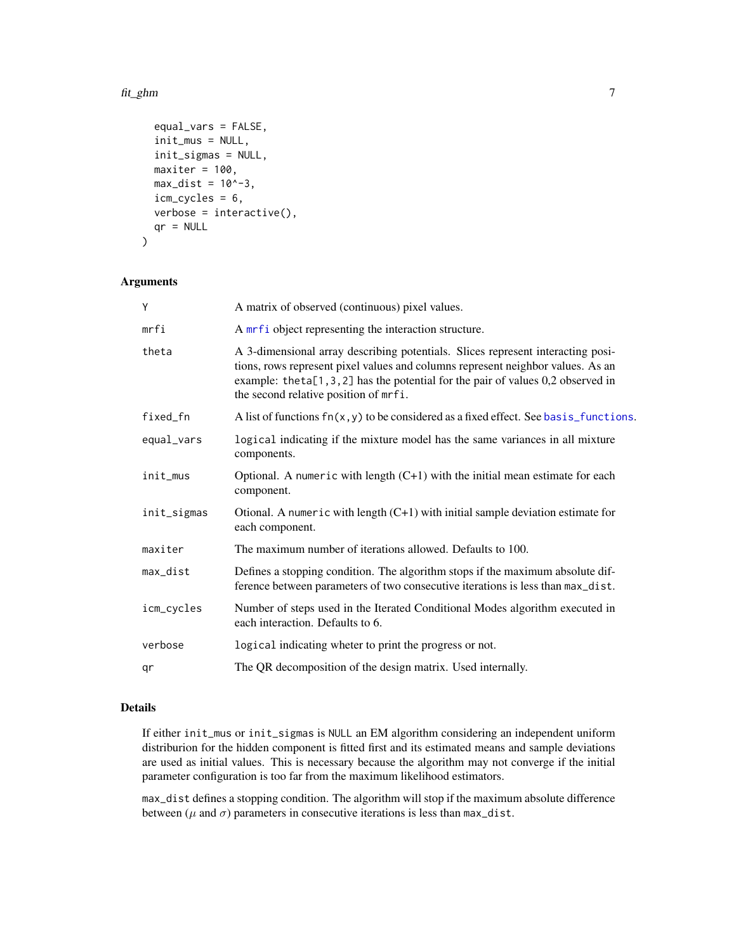#### <span id="page-6-0"></span>fit\_ghm 7

```
equal_vars = FALSE,
  init_mus = NULL,
  init_sigmas = NULL,
 maxiter = 100,
 max\_dist = 10^{\wedge}-3,
  icm_cycles = 6,
 verbose = interactive(),
  qr = NULL)
```
### Arguments

| Y           | A matrix of observed (continuous) pixel values.                                                                                                                                                                                                                                                 |
|-------------|-------------------------------------------------------------------------------------------------------------------------------------------------------------------------------------------------------------------------------------------------------------------------------------------------|
| mrfi        | A mrf i object representing the interaction structure.                                                                                                                                                                                                                                          |
| theta       | A 3-dimensional array describing potentials. Slices represent interacting posi-<br>tions, rows represent pixel values and columns represent neighbor values. As an<br>example: theta[1,3,2] has the potential for the pair of values $0,2$ observed in<br>the second relative position of mrfi. |
| fixed_fn    | A list of functions $fn(x, y)$ to be considered as a fixed effect. See basis_functions.                                                                                                                                                                                                         |
| equal_vars  | logical indicating if the mixture model has the same variances in all mixture<br>components.                                                                                                                                                                                                    |
| init_mus    | Optional. A numeric with length $(C+1)$ with the initial mean estimate for each<br>component.                                                                                                                                                                                                   |
| init_sigmas | Otional. A numeric with length $(C+1)$ with initial sample deviation estimate for<br>each component.                                                                                                                                                                                            |
| maxiter     | The maximum number of iterations allowed. Defaults to 100.                                                                                                                                                                                                                                      |
| max_dist    | Defines a stopping condition. The algorithm stops if the maximum absolute dif-<br>ference between parameters of two consecutive iterations is less than max_dist.                                                                                                                               |
| icm_cycles  | Number of steps used in the Iterated Conditional Modes algorithm executed in<br>each interaction. Defaults to 6.                                                                                                                                                                                |
| verbose     | logical indicating wheter to print the progress or not.                                                                                                                                                                                                                                         |
| qr          | The QR decomposition of the design matrix. Used internally.                                                                                                                                                                                                                                     |

# Details

If either init\_mus or init\_sigmas is NULL an EM algorithm considering an independent uniform distriburion for the hidden component is fitted first and its estimated means and sample deviations are used as initial values. This is necessary because the algorithm may not converge if the initial parameter configuration is too far from the maximum likelihood estimators.

max\_dist defines a stopping condition. The algorithm will stop if the maximum absolute difference between ( $\mu$  and  $\sigma$ ) parameters in consecutive iterations is less than max\_dist.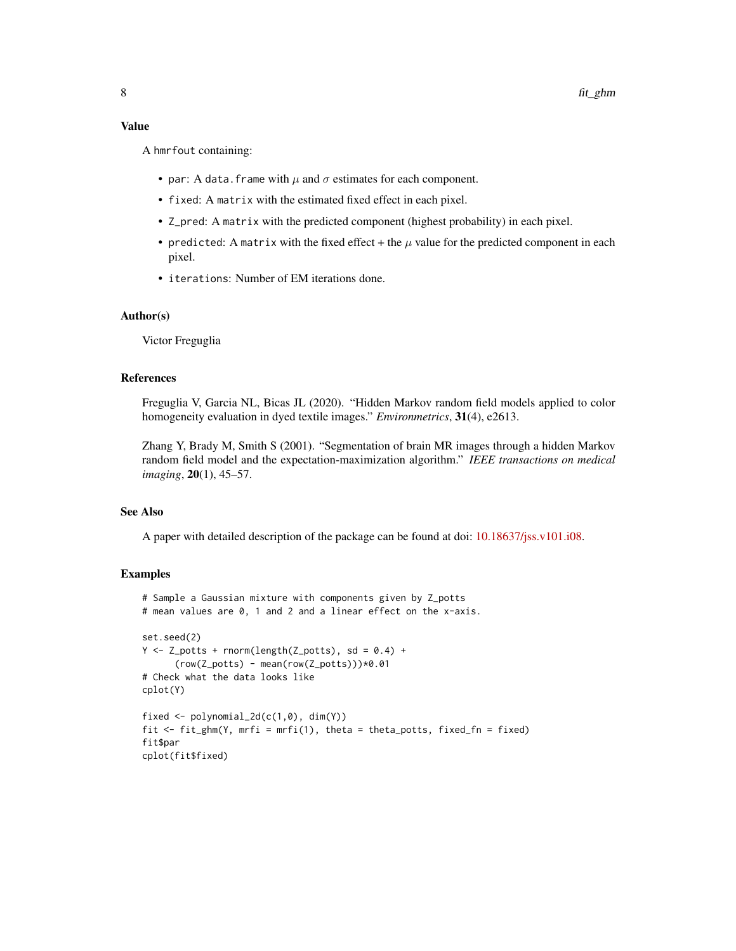### Value

A hmrfout containing:

- par: A data. frame with  $\mu$  and  $\sigma$  estimates for each component.
- fixed: A matrix with the estimated fixed effect in each pixel.
- Z\_pred: A matrix with the predicted component (highest probability) in each pixel.
- predicted: A matrix with the fixed effect + the  $\mu$  value for the predicted component in each pixel.
- iterations: Number of EM iterations done.

# Author(s)

Victor Freguglia

### References

Freguglia V, Garcia NL, Bicas JL (2020). "Hidden Markov random field models applied to color homogeneity evaluation in dyed textile images." *Environmetrics*, 31(4), e2613.

Zhang Y, Brady M, Smith S (2001). "Segmentation of brain MR images through a hidden Markov random field model and the expectation-maximization algorithm." *IEEE transactions on medical imaging*, 20(1), 45–57.

# See Also

A paper with detailed description of the package can be found at doi: [10.18637/jss.v101.i08.](https://doi.org/10.18637/jss.v101.i08)

#### Examples

```
# Sample a Gaussian mixture with components given by Z_potts
# mean values are 0, 1 and 2 and a linear effect on the x-axis.
set.seed(2)
Y \leftarrow Z potts + rnorm(length(Z_potts), sd = 0.4) +
      (row(Z_potts) - mean(row(Z_potts)))*0.01
# Check what the data looks like
cplot(Y)
fixed \leq polynomial_2d(c(1,0), dim(Y))
fit <- fit_ghm(Y, mrfi = mrfi(1), theta = theta_potts, fixed_fn = fixed)
fit$par
cplot(fit$fixed)
```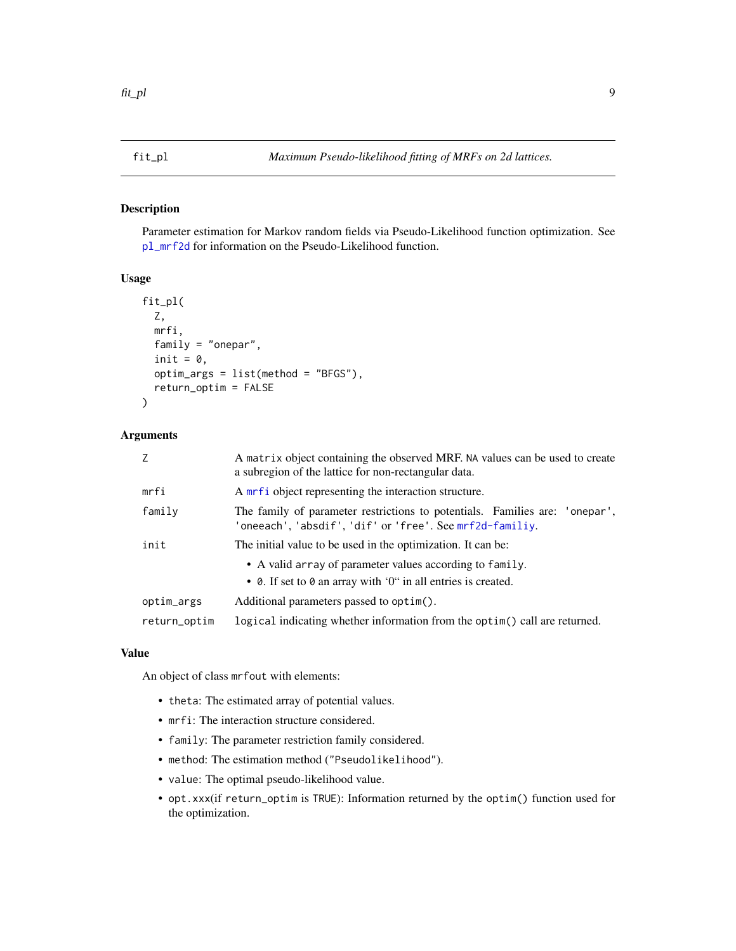#### <span id="page-8-0"></span>Description

Parameter estimation for Markov random fields via Pseudo-Likelihood function optimization. See [pl\\_mrf2d](#page-17-1) for information on the Pseudo-Likelihood function.

# Usage

```
fit_pl(
  Z,
 mrfi,
 family = "onepar",
  init = 0,optim_args = list(method = "BFGS"),
  return_optim = FALSE
)
```
# Arguments

| $\overline{7}$ | A matrix object containing the observed MRF. NA values can be used to create<br>a subregion of the lattice for non-rectangular data.     |  |
|----------------|------------------------------------------------------------------------------------------------------------------------------------------|--|
| mrfi           | A mrf i object representing the interaction structure.                                                                                   |  |
| family         | The family of parameter restrictions to potentials. Families are: 'onepar',<br>'oneeach', 'absdif', 'dif' or 'free'. See mrf2d-familiy.  |  |
| init           | The initial value to be used in the optimization. It can be:                                                                             |  |
|                | • A valid array of parameter values according to family.<br>• $\theta$ . If set to $\theta$ an array with '0" in all entries is created. |  |
| optim_args     | Additional parameters passed to optim().                                                                                                 |  |
| return_optim   | logical indicating whether information from the optim() call are returned.                                                               |  |

#### Value

An object of class mrfout with elements:

- theta: The estimated array of potential values.
- mrfi: The interaction structure considered.
- family: The parameter restriction family considered.
- method: The estimation method ("Pseudolikelihood").
- value: The optimal pseudo-likelihood value.
- opt.xxx(if return\_optim is TRUE): Information returned by the optim() function used for the optimization.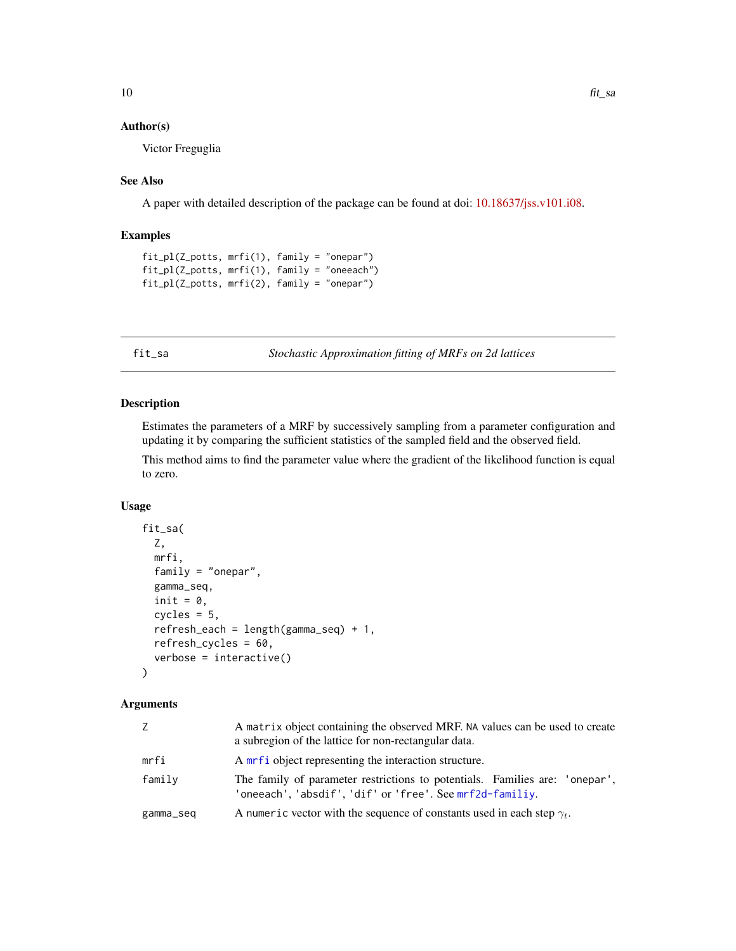# <span id="page-9-0"></span>Author(s)

Victor Freguglia

#### See Also

A paper with detailed description of the package can be found at doi: [10.18637/jss.v101.i08.](https://doi.org/10.18637/jss.v101.i08)

#### Examples

```
fit_pl(Z_potts, mrfi(1), family = "onepar")
fit_pl(Z_potts, mrfi(1), family = "oneeach")
fit_pl(Z_potts, mrfi(2), family = "onepar")
```
fit\_sa *Stochastic Approximation fitting of MRFs on 2d lattices*

# Description

Estimates the parameters of a MRF by successively sampling from a parameter configuration and updating it by comparing the sufficient statistics of the sampled field and the observed field.

This method aims to find the parameter value where the gradient of the likelihood function is equal to zero.

# Usage

```
fit_sa(
 Z,
 mrfi,
 family = "onepar",
 gamma_seq,
  init = 0,cycles = 5,
  refresh_each = length(gamma_seq) + 1,
  refresh_cycles = 60,
  verbose = interactive()
)
```
#### Arguments

| Z         | A matrix object containing the observed MRF. NA values can be used to create<br>a subregion of the lattice for non-rectangular data.    |
|-----------|-----------------------------------------------------------------------------------------------------------------------------------------|
| mrfi      | A mrf i object representing the interaction structure.                                                                                  |
| family    | The family of parameter restrictions to potentials. Families are: 'onepar',<br>'oneeach', 'absdif', 'dif' or 'free'. See mrf2d-familiy. |
| gamma_seq | A numeric vector with the sequence of constants used in each step $\gamma_t$ .                                                          |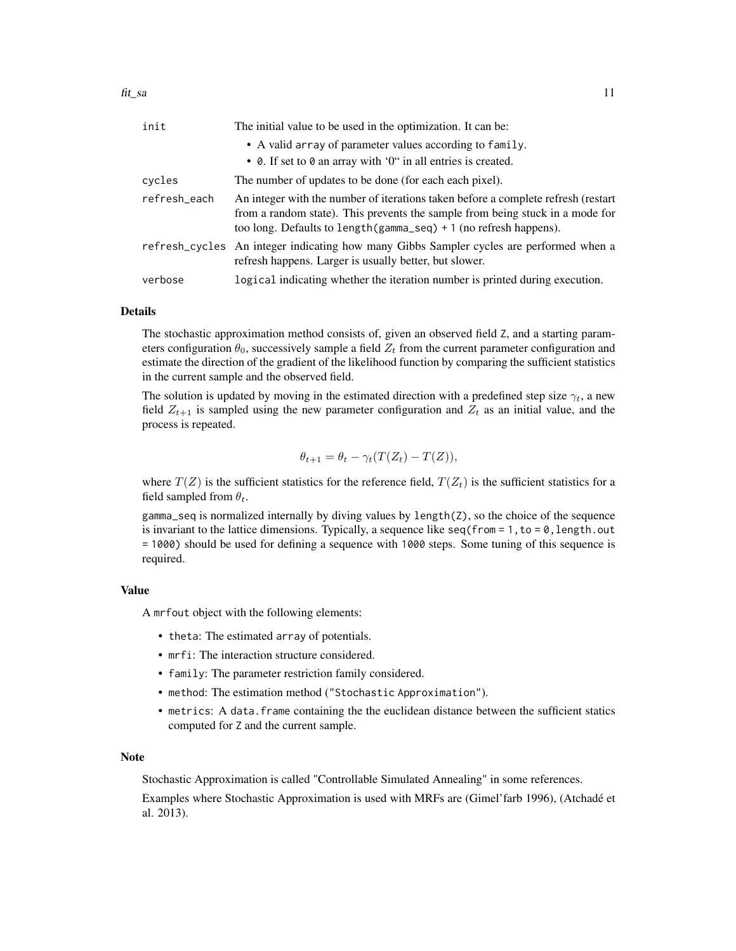| init         | The initial value to be used in the optimization. It can be:                                                                                                                                                                             |  |
|--------------|------------------------------------------------------------------------------------------------------------------------------------------------------------------------------------------------------------------------------------------|--|
|              | • A valid array of parameter values according to family.                                                                                                                                                                                 |  |
|              | • $\theta$ . If set to $\theta$ an array with '0" in all entries is created.                                                                                                                                                             |  |
| cycles       | The number of updates to be done (for each each pixel).                                                                                                                                                                                  |  |
| refresh_each | An integer with the number of iterations taken before a complete refresh (restart<br>from a random state). This prevents the sample from being stuck in a mode for<br>too long. Defaults to length (gamma_seq) + 1 (no refresh happens). |  |
|              | refresh_cycles An integer indicating how many Gibbs Sampler cycles are performed when a<br>refresh happens. Larger is usually better, but slower.                                                                                        |  |
| verbose      | logical indicating whether the iteration number is printed during execution.                                                                                                                                                             |  |

#### Details

The stochastic approximation method consists of, given an observed field Z, and a starting parameters configuration  $\theta_0$ , successively sample a field  $Z_t$  from the current parameter configuration and estimate the direction of the gradient of the likelihood function by comparing the sufficient statistics in the current sample and the observed field.

The solution is updated by moving in the estimated direction with a predefined step size  $\gamma_t$ , a new field  $Z_{t+1}$  is sampled using the new parameter configuration and  $Z_t$  as an initial value, and the process is repeated.

$$
\theta_{t+1} = \theta_t - \gamma_t (T(Z_t) - T(Z)),
$$

where  $T(Z)$  is the sufficient statistics for the reference field,  $T(Z_t)$  is the sufficient statistics for a field sampled from  $\theta_t$ .

gamma\_seq is normalized internally by diving values by length(Z), so the choice of the sequence is invariant to the lattice dimensions. Typically, a sequence like  $seq(from = 1, to = 0, length.out$ = 1000) should be used for defining a sequence with 1000 steps. Some tuning of this sequence is required.

#### Value

A mrfout object with the following elements:

- theta: The estimated array of potentials.
- mrfi: The interaction structure considered.
- family: The parameter restriction family considered.
- method: The estimation method ("Stochastic Approximation").
- metrics: A data.frame containing the the euclidean distance between the sufficient statics computed for Z and the current sample.

#### Note

Stochastic Approximation is called "Controllable Simulated Annealing" in some references.

Examples where Stochastic Approximation is used with MRFs are (Gimel'farb 1996), (Atchadé et al. 2013).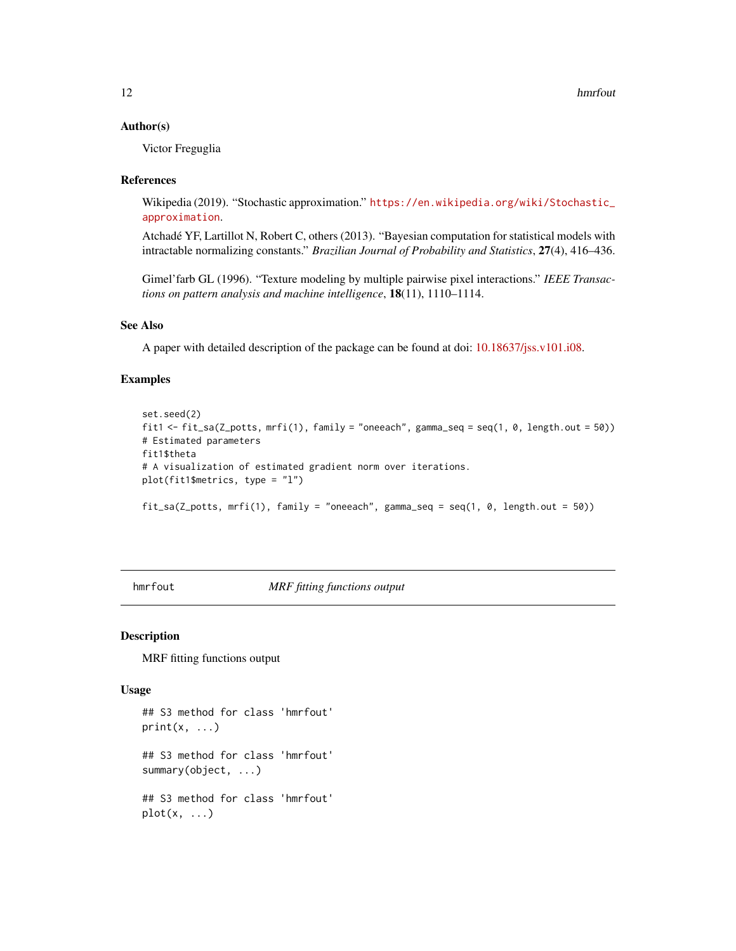#### <span id="page-11-0"></span>Author(s)

Victor Freguglia

#### References

Wikipedia (2019). "Stochastic approximation." [https://en.wikipedia.org/wiki/Stochastic\\_](https://en.wikipedia.org/wiki/Stochastic_approximation) [approximation](https://en.wikipedia.org/wiki/Stochastic_approximation).

Atchadé YF, Lartillot N, Robert C, others (2013). "Bayesian computation for statistical models with intractable normalizing constants." *Brazilian Journal of Probability and Statistics*, 27(4), 416–436.

Gimel'farb GL (1996). "Texture modeling by multiple pairwise pixel interactions." *IEEE Transactions on pattern analysis and machine intelligence*, 18(11), 1110–1114.

# See Also

A paper with detailed description of the package can be found at doi: [10.18637/jss.v101.i08.](https://doi.org/10.18637/jss.v101.i08)

#### Examples

```
set.seed(2)
fit1 <- fit_sa(Z_potts, mrfi(1), family = "oneeach", gamma_seq = seq(1, 0, length.out = 50))
# Estimated parameters
fit1$theta
# A visualization of estimated gradient norm over iterations.
plot(fit1$metrics, type = "l")
fit_sa(Z_potts, mrfi(1), family = "oneeach", gamma_seq = seq(1, 0, length.out = 50))
```
hmrfout *MRF fitting functions output*

#### Description

MRF fitting functions output

#### Usage

```
## S3 method for class 'hmrfout'
print(x, \ldots)## S3 method for class 'hmrfout'
summary(object, ...)
## S3 method for class 'hmrfout'
plot(x, \ldots)
```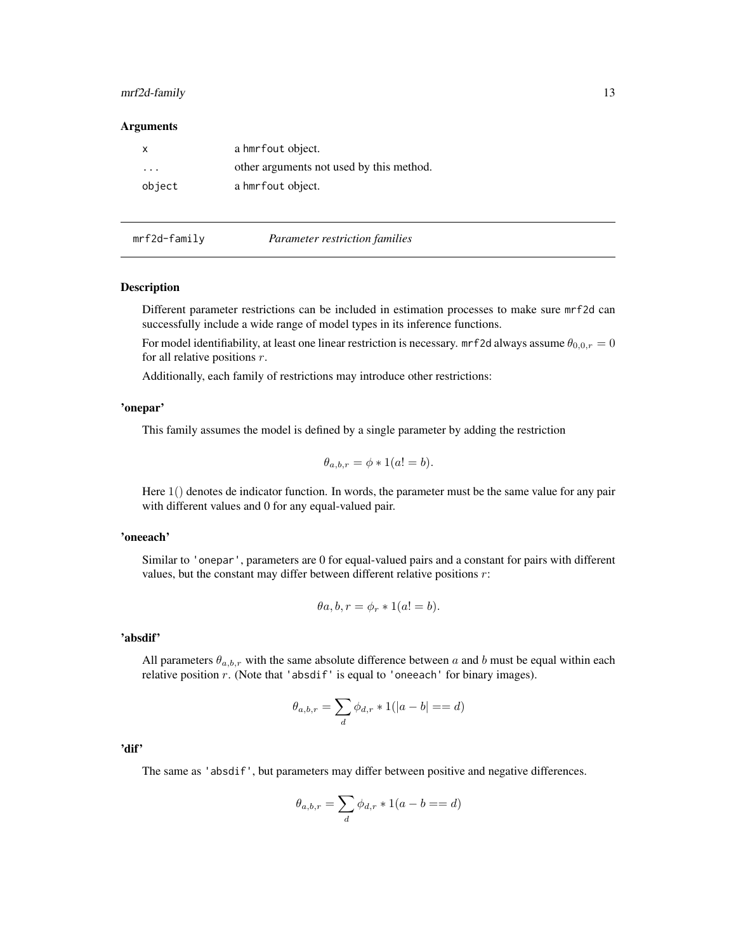#### <span id="page-12-0"></span>mrf2d-family 13

#### **Arguments**

| x      | a hmrfout object.                        |
|--------|------------------------------------------|
| .      | other arguments not used by this method. |
| object | a hmrfout object.                        |

# <span id="page-12-1"></span>mrf2d-family *Parameter restriction families*

#### Description

Different parameter restrictions can be included in estimation processes to make sure mrf2d can successfully include a wide range of model types in its inference functions.

For model identifiability, at least one linear restriction is necessary. mrf2d always assume  $\theta_{0,0,r} = 0$ for all relative positions  $r$ .

Additionally, each family of restrictions may introduce other restrictions:

#### 'onepar'

This family assumes the model is defined by a single parameter by adding the restriction

$$
\theta_{a,b,r} = \phi * 1(a! = b).
$$

Here 1() denotes de indicator function. In words, the parameter must be the same value for any pair with different values and 0 for any equal-valued pair.

#### 'oneeach'

Similar to 'onepar', parameters are 0 for equal-valued pairs and a constant for pairs with different values, but the constant may differ between different relative positions  $r$ :

$$
\theta a, b, r = \phi_r * 1(a! = b).
$$

#### 'absdif'

All parameters  $\theta_{a,b,r}$  with the same absolute difference between a and b must be equal within each relative position  $r$ . (Note that 'absdif' is equal to 'oneeach' for binary images).

$$
\theta_{a,b,r}=\sum_d \phi_{d,r}*1(|a-b|==d)
$$

'dif'

The same as 'absdif', but parameters may differ between positive and negative differences.

$$
\theta_{a,b,r} = \sum_{d} \phi_{d,r} * 1(a - b == d)
$$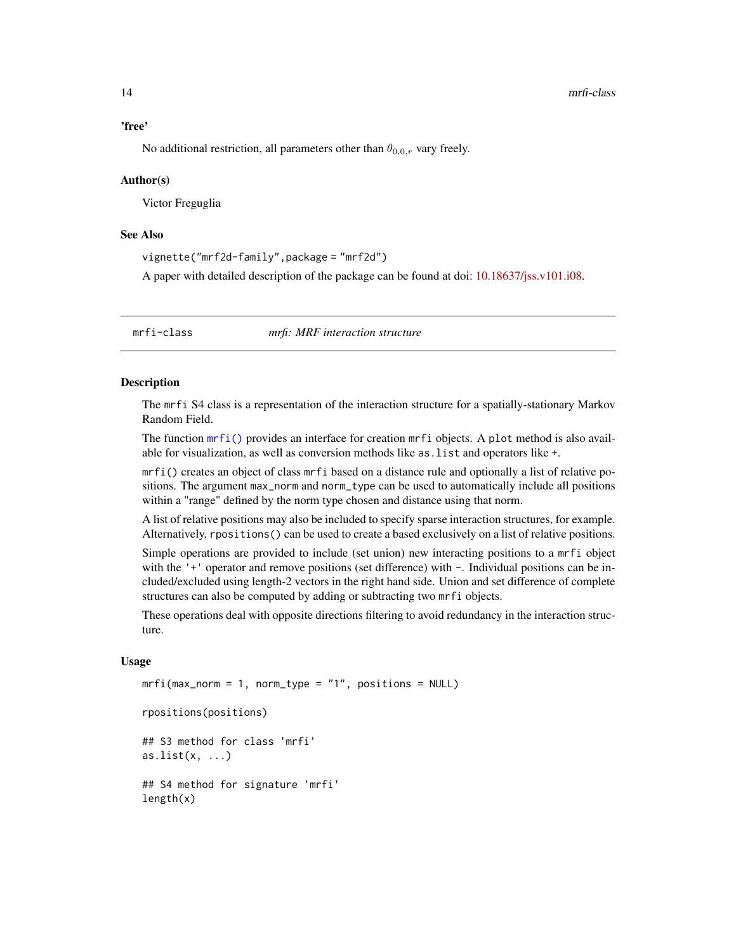# <span id="page-13-0"></span>'free'

No additional restriction, all parameters other than  $\theta_{0,0,r}$  vary freely.

#### Author(s)

Victor Freguglia

#### See Also

vignette("mrf2d-family",package = "mrf2d")

A paper with detailed description of the package can be found at doi: [10.18637/jss.v101.i08.](https://doi.org/10.18637/jss.v101.i08)

<span id="page-13-1"></span>

mrfi-class *mrfi: MRF interaction structure*

#### <span id="page-13-2"></span>Description

The mrfi S4 class is a representation of the interaction structure for a spatially-stationary Markov Random Field.

The function  $mrfi$  () provides an interface for creation  $mrfi$  objects. A plot method is also available for visualization, as well as conversion methods like as.list and operators like +.

mrfi() creates an object of class mrfi based on a distance rule and optionally a list of relative positions. The argument max\_norm and norm\_type can be used to automatically include all positions within a "range" defined by the norm type chosen and distance using that norm.

A list of relative positions may also be included to specify sparse interaction structures, for example. Alternatively, rpositions() can be used to create a based exclusively on a list of relative positions.

Simple operations are provided to include (set union) new interacting positions to a mrfi object with the '+' operator and remove positions (set difference) with  $-$ . Individual positions can be included/excluded using length-2 vectors in the right hand side. Union and set difference of complete structures can also be computed by adding or subtracting two mrfi objects.

These operations deal with opposite directions filtering to avoid redundancy in the interaction structure.

#### Usage

 $mrfi(max\_norm = 1$ , norm\_type =  $"1"$ , positions = NULL)

```
rpositions(positions)
```
## S3 method for class 'mrfi'  $as.list(x, \ldots)$ 

## S4 method for signature 'mrfi' length(x)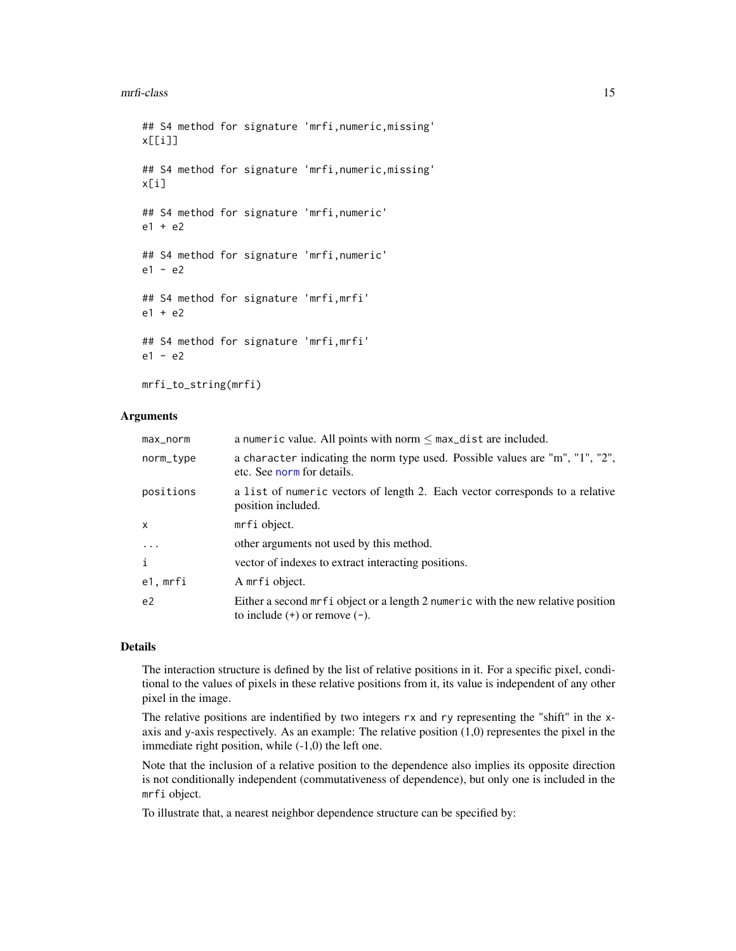#### <span id="page-14-0"></span>mrfi-class 15

```
## S4 method for signature 'mrfi,numeric,missing'
x[[i]]
## S4 method for signature 'mrfi,numeric,missing'
x[i]
## S4 method for signature 'mrfi,numeric'
e1 + e2
## S4 method for signature 'mrfi,numeric'
e1 - e2
## S4 method for signature 'mrfi,mrfi'
e1 + e2
## S4 method for signature 'mrfi,mrfi'
e1 - e2
```
mrfi\_to\_string(mrfi)

# Arguments

| max_norm       | a numeric value. All points with norm $\leq$ max_dist are included.                                                      |
|----------------|--------------------------------------------------------------------------------------------------------------------------|
| norm_type      | a character indicating the norm type used. Possible values are "m", "1", "2",<br>etc. See norm for details.              |
| positions      | a list of numeric vectors of length 2. Each vector corresponds to a relative<br>position included.                       |
| X              | mrfi object.                                                                                                             |
| $\ddots$       | other arguments not used by this method.                                                                                 |
| i              | vector of indexes to extract interacting positions.                                                                      |
| e1, mrfi       | A mrfi object.                                                                                                           |
| e <sub>2</sub> | Either a second mrf i object or a length 2 numer ic with the new relative position<br>to include $(+)$ or remove $(-)$ . |

# Details

The interaction structure is defined by the list of relative positions in it. For a specific pixel, conditional to the values of pixels in these relative positions from it, its value is independent of any other pixel in the image.

The relative positions are indentified by two integers rx and ry representing the "shift" in the xaxis and y-axis respectively. As an example: The relative position (1,0) representes the pixel in the immediate right position, while (-1,0) the left one.

Note that the inclusion of a relative position to the dependence also implies its opposite direction is not conditionally independent (commutativeness of dependence), but only one is included in the mrfi object.

To illustrate that, a nearest neighbor dependence structure can be specified by: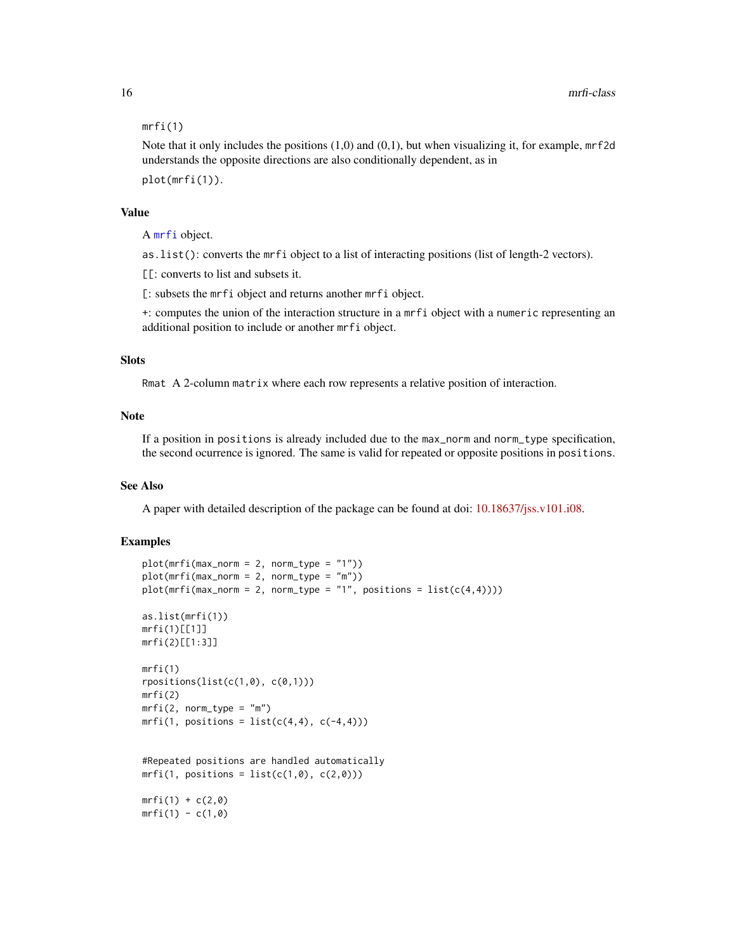#### mrfi(1)

Note that it only includes the positions (1,0) and (0,1), but when visualizing it, for example, mrf2d understands the opposite directions are also conditionally dependent, as in plot(mrfi(1)).

# Value

A [mrfi](#page-13-1) object.

as.list(): converts the mrfi object to a list of interacting positions (list of length-2 vectors).

[[: converts to list and subsets it.

[: subsets the mrfi object and returns another mrfi object.

+: computes the union of the interaction structure in a mrfi object with a numeric representing an additional position to include or another mrfi object.

#### **Slots**

Rmat A 2-column matrix where each row represents a relative position of interaction.

# Note

If a position in positions is already included due to the max\_norm and norm\_type specification, the second ocurrence is ignored. The same is valid for repeated or opposite positions in positions.

#### See Also

A paper with detailed description of the package can be found at doi: [10.18637/jss.v101.i08.](https://doi.org/10.18637/jss.v101.i08)

#### Examples

```
plot(mrfi(max_norm = 2, norm_type = "1"))
plot(mrfi(max\_norm = 2, norm_type = "m")plot(mrfi(max\_norm = 2, norm\_type = "1", positions = list(c(4,4))))as.list(mrfi(1))
mrfi(1)[[1]]
mrfi(2)[[1:3]]
mrfi(1)
rpositions(list(c(1,0), c(0,1)))
mrfi(2)
mrfi(2, norm_type = "m")mrfi(1, positions = list(c(4,4), c(-4,4)))#Repeated positions are handled automatically
mrfi(1, positions = list(c(1,0), c(2,0)))mrfi(1) + c(2,0)mrfi(1) - c(1,0)
```
<span id="page-15-0"></span>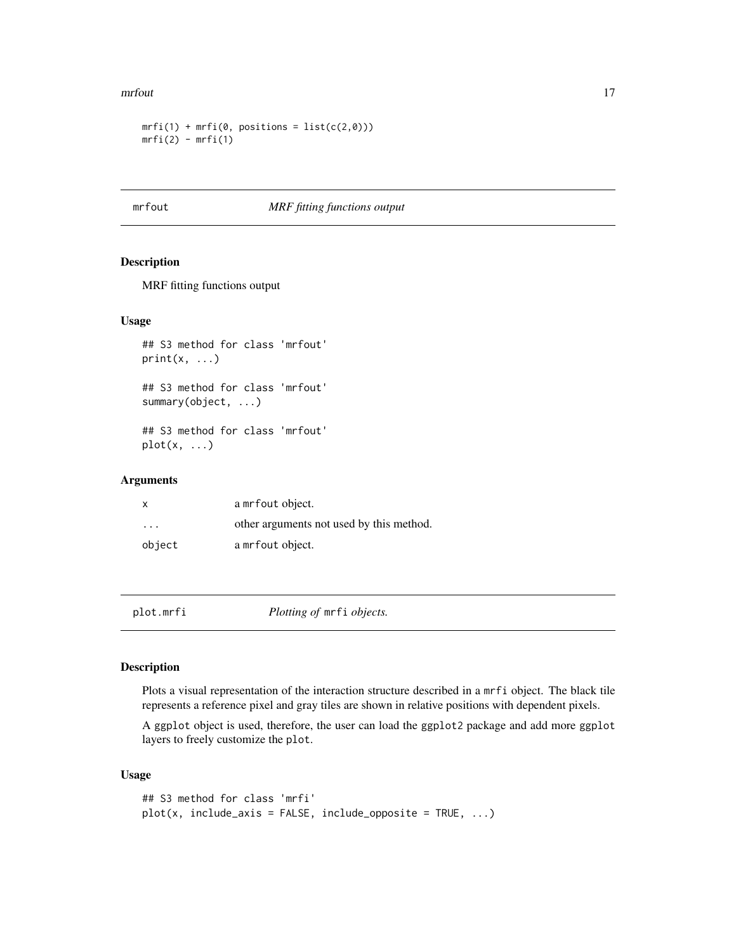#### <span id="page-16-0"></span>mrfout that the contract of the contract of the contract of the contract of the contract of the contract of the contract of the contract of the contract of the contract of the contract of the contract of the contract of th

```
mrfi(1) + mrfi(\emptyset, positions = list(c(2,0)))mrfi(2) - mrfi(1)
```
#### mrfout *MRF fitting functions output*

# Description

MRF fitting functions output

#### Usage

## S3 method for class 'mrfout'  $print(x, \ldots)$ 

## S3 method for class 'mrfout' summary(object, ...)

## S3 method for class 'mrfout'  $plot(x, \ldots)$ 

#### Arguments

| x       | a mrfout object.                         |
|---------|------------------------------------------|
| $\cdot$ | other arguments not used by this method. |
| object  | a mrfout object.                         |

plot.mrfi *Plotting of* mrfi *objects.*

# Description

Plots a visual representation of the interaction structure described in a mrfi object. The black tile represents a reference pixel and gray tiles are shown in relative positions with dependent pixels.

A ggplot object is used, therefore, the user can load the ggplot2 package and add more ggplot layers to freely customize the plot.

# Usage

```
## S3 method for class 'mrfi'
plot(x, include\_axis = FALSE, include\_opposite = TRUE, ...)
```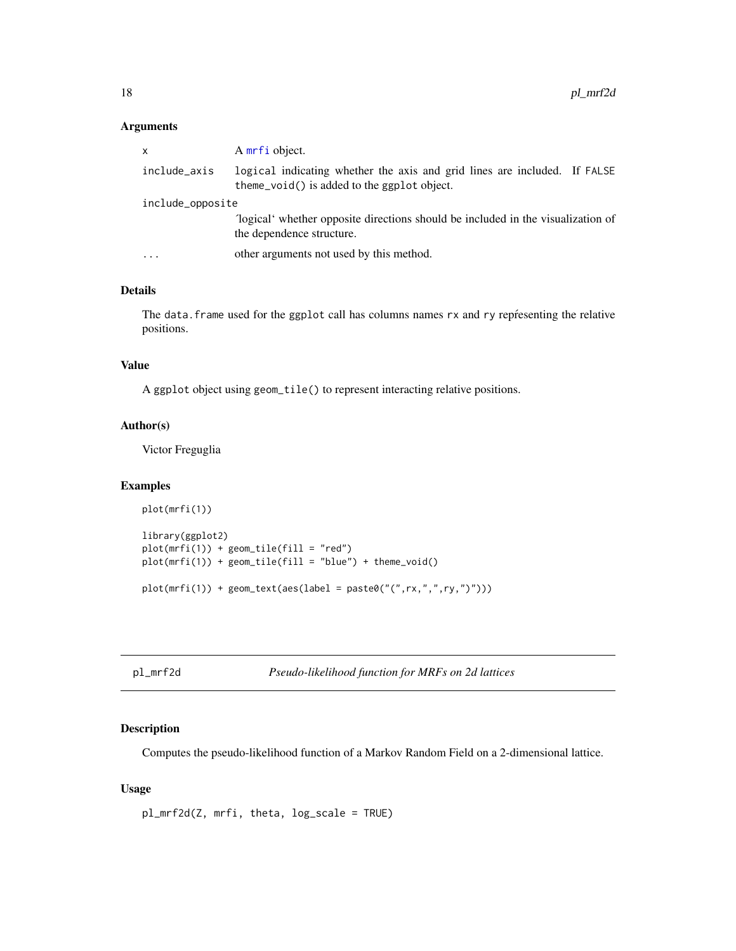# <span id="page-17-0"></span>Arguments

| $\mathsf{x}$            | A mrfi object.                                                                                                           |  |
|-------------------------|--------------------------------------------------------------------------------------------------------------------------|--|
| include_axis            | logical indicating whether the axis and grid lines are included. If FALSE<br>theme_void() is added to the ggplot object. |  |
| include_opposite        |                                                                                                                          |  |
|                         | "logical" whether opposite directions should be included in the visualization of<br>the dependence structure.            |  |
| $\cdot$ $\cdot$ $\cdot$ | other arguments not used by this method.                                                                                 |  |

# Details

The data. frame used for the ggplot call has columns names rx and ry representing the relative positions.

#### Value

A ggplot object using geom\_tile() to represent interacting relative positions.

# Author(s)

Victor Freguglia

# Examples

```
plot(mrfi(1))
library(ggplot2)
plot(mrfi(1)) + geom\_tile(fill = "red")plot(mrfi(1)) + geom_tile(fill = "blue") + theme_void()
plot(mrfi(1)) + geom_text(aes(label = paste0("(",rx,",",ry,")")))
```
<span id="page-17-1"></span>pl\_mrf2d *Pseudo-likelihood function for MRFs on 2d lattices*

#### Description

Computes the pseudo-likelihood function of a Markov Random Field on a 2-dimensional lattice.

# Usage

pl\_mrf2d(Z, mrfi, theta, log\_scale = TRUE)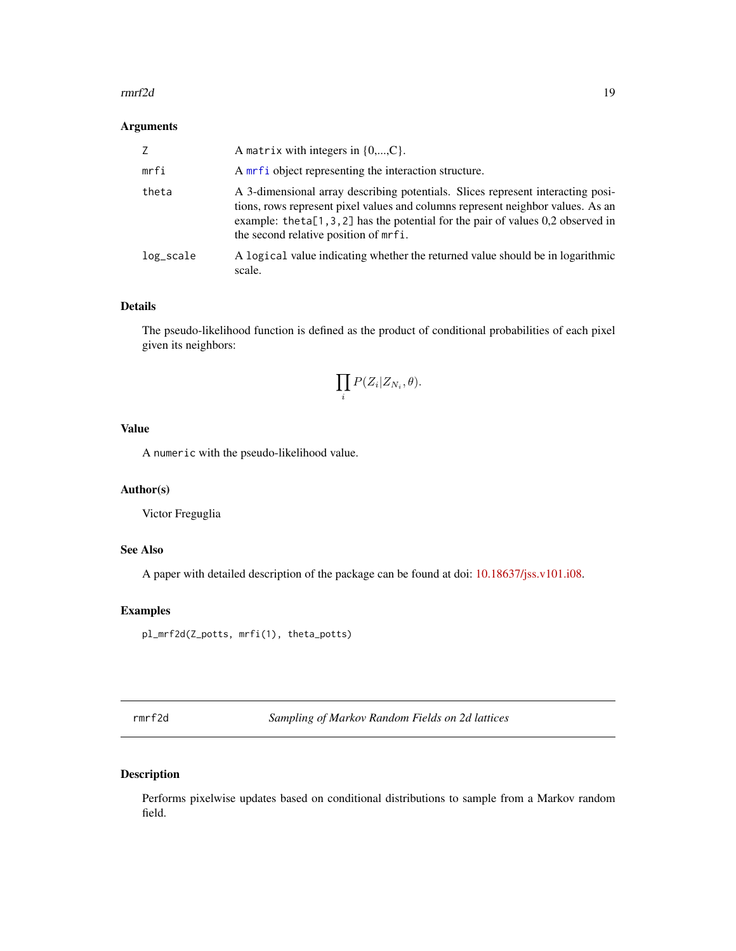#### <span id="page-18-0"></span> $r = 19$

#### Arguments

| Z         | A matrix with integers in $\{0,,C\}$ .                                                                                                                                                                                                                                                              |
|-----------|-----------------------------------------------------------------------------------------------------------------------------------------------------------------------------------------------------------------------------------------------------------------------------------------------------|
| mrfi      | A mrf i object representing the interaction structure.                                                                                                                                                                                                                                              |
| theta     | A 3-dimensional array describing potentials. Slices represent interacting posi-<br>tions, rows represent pixel values and columns represent neighbor values. As an<br>example: the ta $[1, 3, 2]$ has the potential for the pair of values 0,2 observed in<br>the second relative position of mrfi. |
| log_scale | A logical value indicating whether the returned value should be in logarithmic<br>scale.                                                                                                                                                                                                            |

# Details

The pseudo-likelihood function is defined as the product of conditional probabilities of each pixel given its neighbors:

$$
\prod_i P(Z_i|Z_{N_i},\theta).
$$

# Value

A numeric with the pseudo-likelihood value.

# Author(s)

Victor Freguglia

# See Also

A paper with detailed description of the package can be found at doi: [10.18637/jss.v101.i08.](https://doi.org/10.18637/jss.v101.i08)

# Examples

pl\_mrf2d(Z\_potts, mrfi(1), theta\_potts)

<span id="page-18-1"></span>rmrf2d *Sampling of Markov Random Fields on 2d lattices*

# Description

Performs pixelwise updates based on conditional distributions to sample from a Markov random field.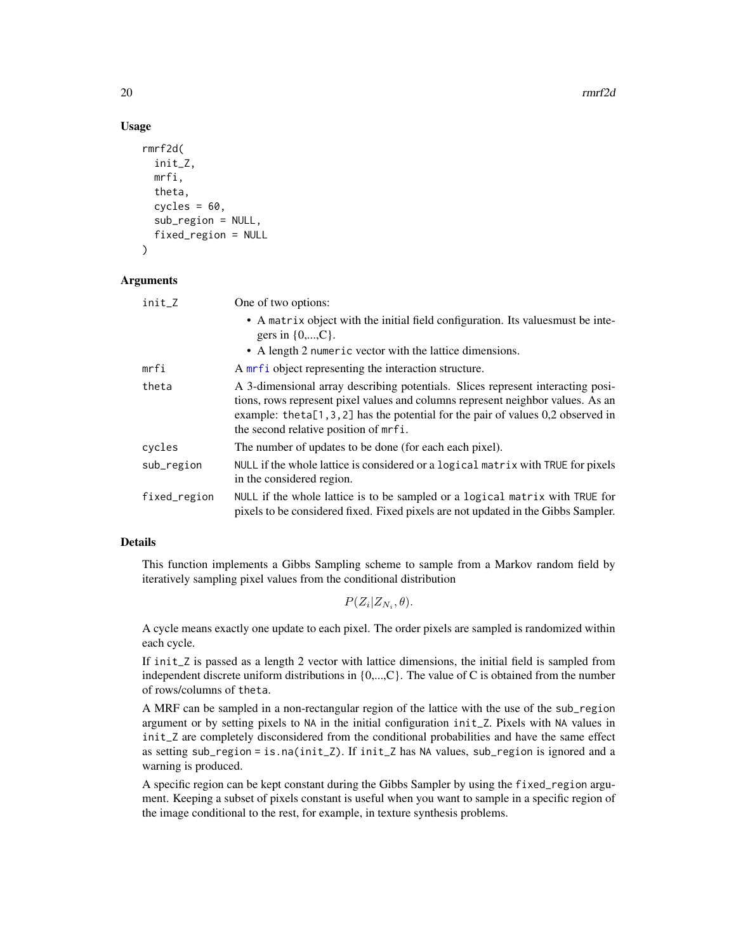#### Usage

```
rmrf2d(
  init_Z,
  mrfi,
  theta,
  cycles = 60,
  sub_region = NULL,
  fixed_region = NULL
)
```
#### Arguments

| init_Z       | One of two options:                                                                                                                                                                                                                                                                                 |
|--------------|-----------------------------------------------------------------------------------------------------------------------------------------------------------------------------------------------------------------------------------------------------------------------------------------------------|
|              | • A matrix object with the initial field configuration. Its values must be inte-<br>gers in $\{0,,C\}$ .                                                                                                                                                                                            |
|              | • A length 2 numeric vector with the lattice dimensions.                                                                                                                                                                                                                                            |
| mrfi         | A mrf i object representing the interaction structure.                                                                                                                                                                                                                                              |
| theta        | A 3-dimensional array describing potentials. Slices represent interacting posi-<br>tions, rows represent pixel values and columns represent neighbor values. As an<br>example: the ta $[1, 3, 2]$ has the potential for the pair of values 0,2 observed in<br>the second relative position of mrfi. |
| cycles       | The number of updates to be done (for each each pixel).                                                                                                                                                                                                                                             |
| sub_region   | NULL if the whole lattice is considered or a logical matrix with TRUE for pixels<br>in the considered region.                                                                                                                                                                                       |
| fixed_region | NULL if the whole lattice is to be sampled or a logical matrix with TRUE for<br>pixels to be considered fixed. Fixed pixels are not updated in the Gibbs Sampler.                                                                                                                                   |

# Details

This function implements a Gibbs Sampling scheme to sample from a Markov random field by iteratively sampling pixel values from the conditional distribution

 $P(Z_i|Z_{N_i},\theta).$ 

A cycle means exactly one update to each pixel. The order pixels are sampled is randomized within each cycle.

If init\_Z is passed as a length 2 vector with lattice dimensions, the initial field is sampled from independent discrete uniform distributions in {0,...,C}. The value of C is obtained from the number of rows/columns of theta.

A MRF can be sampled in a non-rectangular region of the lattice with the use of the sub\_region argument or by setting pixels to NA in the initial configuration init\_Z. Pixels with NA values in init\_Z are completely disconsidered from the conditional probabilities and have the same effect as setting sub\_region = is.na(init\_Z). If init\_Z has NA values, sub\_region is ignored and a warning is produced.

A specific region can be kept constant during the Gibbs Sampler by using the fixed\_region argument. Keeping a subset of pixels constant is useful when you want to sample in a specific region of the image conditional to the rest, for example, in texture synthesis problems.

<span id="page-19-0"></span>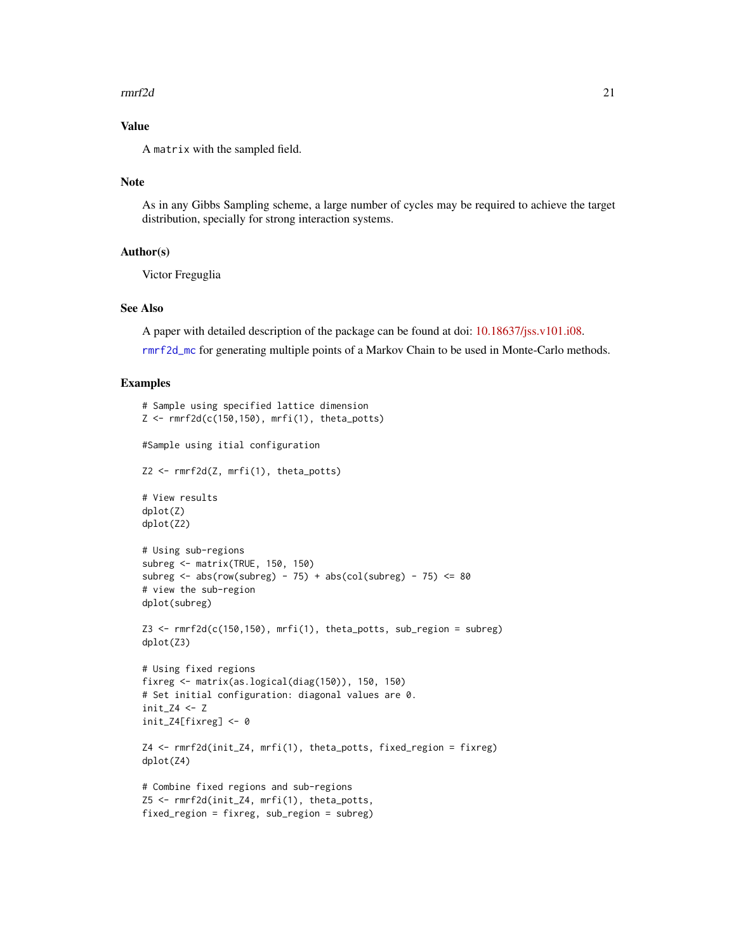#### <span id="page-20-0"></span> $r = 21$

# Value

A matrix with the sampled field.

#### Note

As in any Gibbs Sampling scheme, a large number of cycles may be required to achieve the target distribution, specially for strong interaction systems.

### Author(s)

Victor Freguglia

#### See Also

A paper with detailed description of the package can be found at doi: [10.18637/jss.v101.i08.](https://doi.org/10.18637/jss.v101.i08)

[rmrf2d\\_mc](#page-21-1) for generating multiple points of a Markov Chain to be used in Monte-Carlo methods.

#### Examples

```
# Sample using specified lattice dimension
Z \leq rmrf2d(c(150,150), mrfi(1), theta_potts)
#Sample using itial configuration
Z2 <- rmrf2d(Z, mrfi(1), theta_potts)
# View results
dplot(Z)
dplot(Z2)
# Using sub-regions
subreg <- matrix(TRUE, 150, 150)
subreg \leq abs(row(subreg) - 75) + abs(col(subreg) - 75) \leq 80
# view the sub-region
dplot(subreg)
Z3 \leq rmrf2d(c(150,150), mrfi(1), theta_potts, sub_region = subreg)
dplot(Z3)
# Using fixed regions
fixreg <- matrix(as.logical(diag(150)), 150, 150)
# Set initial configuration: diagonal values are 0.
init_74 < -7init_Z4[fixreg] <- 0
Z4 <- rmrf2d(init_Z4, mrfi(1), theta_potts, fixed_region = fixreg)
dplot(Z4)
# Combine fixed regions and sub-regions
Z5 <- rmrf2d(init_Z4, mrfi(1), theta_potts,
fixed_region = fixreg, sub_region = subreg)
```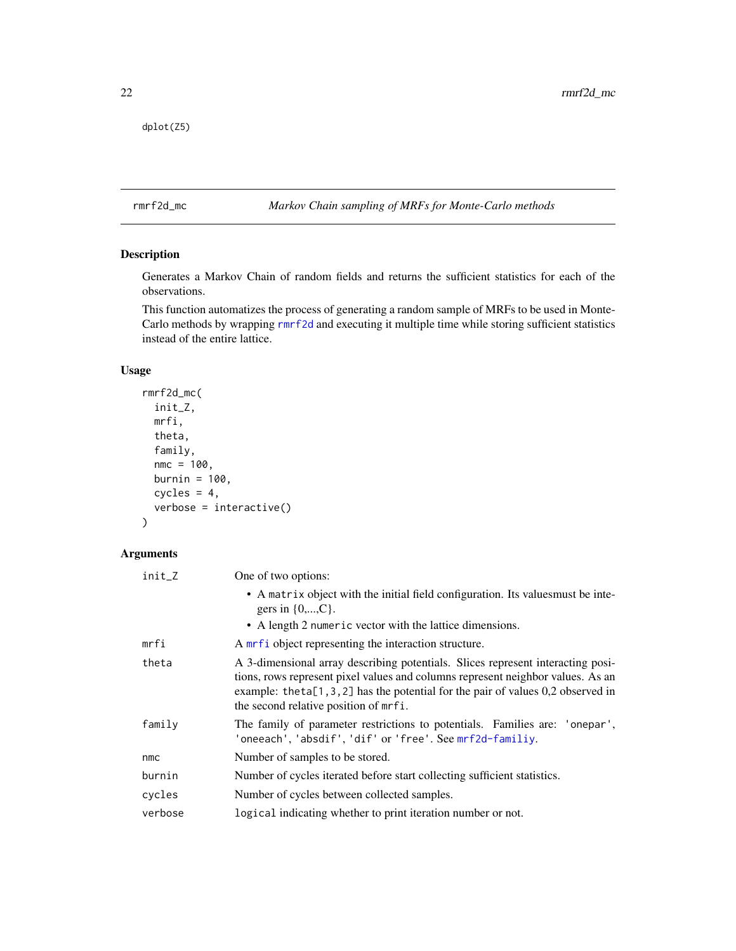```
dplot(Z5)
```
# <span id="page-21-1"></span>rmrf2d\_mc *Markov Chain sampling of MRFs for Monte-Carlo methods*

# Description

Generates a Markov Chain of random fields and returns the sufficient statistics for each of the observations.

This function automatizes the process of generating a random sample of MRFs to be used in Monte-Carlo methods by wrapping [rmrf2d](#page-18-1) and executing it multiple time while storing sufficient statistics instead of the entire lattice.

# Usage

```
rmrf2d_mc(
  init_Z,
 mrfi,
  theta,
  family,
 nmc = 100,burnin = 100,
 cycles = 4,verbose = interactive()
)
```
# Arguments

| init_Z  | One of two options:                                                                                                                                                                                                                                                                             |
|---------|-------------------------------------------------------------------------------------------------------------------------------------------------------------------------------------------------------------------------------------------------------------------------------------------------|
|         | • A matrix object with the initial field configuration. Its valuesmust be inte-<br>gers in $\{0,,C\}$ .                                                                                                                                                                                         |
|         | • A length 2 numeric vector with the lattice dimensions.                                                                                                                                                                                                                                        |
| mrfi    | A mrf i object representing the interaction structure.                                                                                                                                                                                                                                          |
| theta   | A 3-dimensional array describing potentials. Slices represent interacting posi-<br>tions, rows represent pixel values and columns represent neighbor values. As an<br>example: theta[1,3,2] has the potential for the pair of values $0,2$ observed in<br>the second relative position of mrfi. |
| family  | The family of parameter restrictions to potentials. Families are: 'onepar',<br>'oneeach', 'absdif', 'dif' or 'free'. See mrf2d-familiy.                                                                                                                                                         |
| nmc     | Number of samples to be stored.                                                                                                                                                                                                                                                                 |
| burnin  | Number of cycles iterated before start collecting sufficient statistics.                                                                                                                                                                                                                        |
| cycles  | Number of cycles between collected samples.                                                                                                                                                                                                                                                     |
| verbose | logical indicating whether to print iteration number or not.                                                                                                                                                                                                                                    |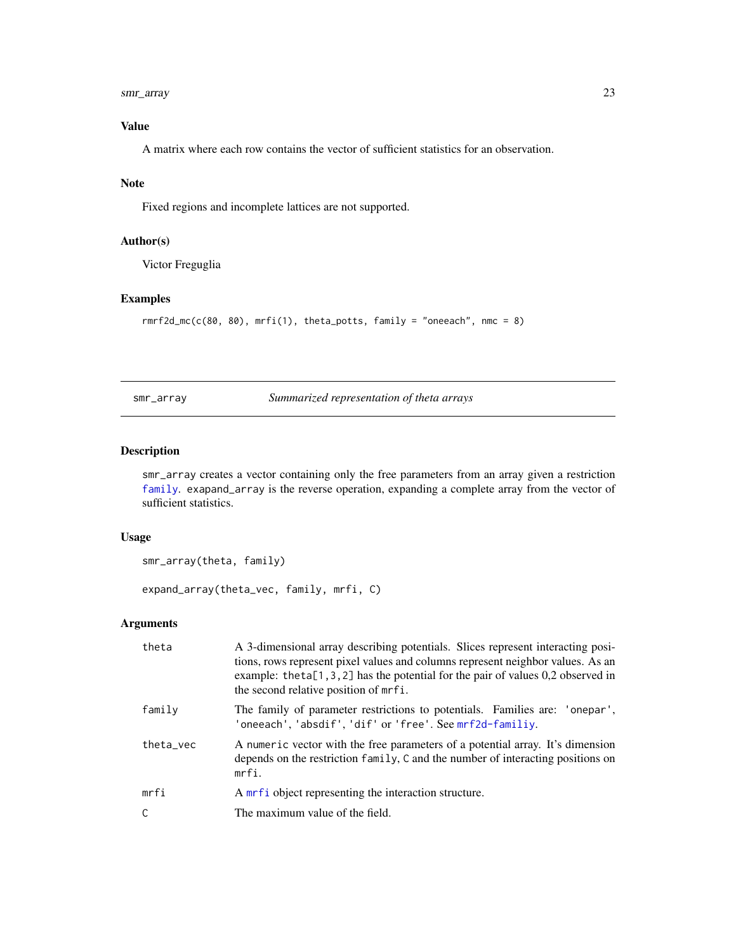#### <span id="page-22-0"></span>smr\_array 23

# Value

A matrix where each row contains the vector of sufficient statistics for an observation.

#### Note

Fixed regions and incomplete lattices are not supported.

#### Author(s)

Victor Freguglia

## Examples

```
rmrf2d_mc(c(80, 80), mrfi(1), theta_potts, family = "oneeach", nmc = 8)
```
<span id="page-22-1"></span>smr\_array *Summarized representation of theta arrays*

#### Description

smr\_array creates a vector containing only the free parameters from an array given a restriction [family](#page-12-1). exapand\_array is the reverse operation, expanding a complete array from the vector of sufficient statistics.

# Usage

```
smr_array(theta, family)
```
expand\_array(theta\_vec, family, mrfi, C)

# Arguments

| theta     | A 3-dimensional array describing potentials. Slices represent interacting posi-<br>tions, rows represent pixel values and columns represent neighbor values. As an<br>example: the ta $[1, 3, 2]$ has the potential for the pair of values 0,2 observed in<br>the second relative position of mrfi. |
|-----------|-----------------------------------------------------------------------------------------------------------------------------------------------------------------------------------------------------------------------------------------------------------------------------------------------------|
| family    | The family of parameter restrictions to potentials. Families are: 'onepar',<br>'oneeach', 'absdif', 'dif' or 'free'. See mrf2d-familiy.                                                                                                                                                             |
| theta_vec | A numeric vector with the free parameters of a potential array. It's dimension<br>depends on the restriction family, C and the number of interacting positions on<br>mrfi.                                                                                                                          |
| mrfi      | A mrf i object representing the interaction structure.                                                                                                                                                                                                                                              |
| C         | The maximum value of the field.                                                                                                                                                                                                                                                                     |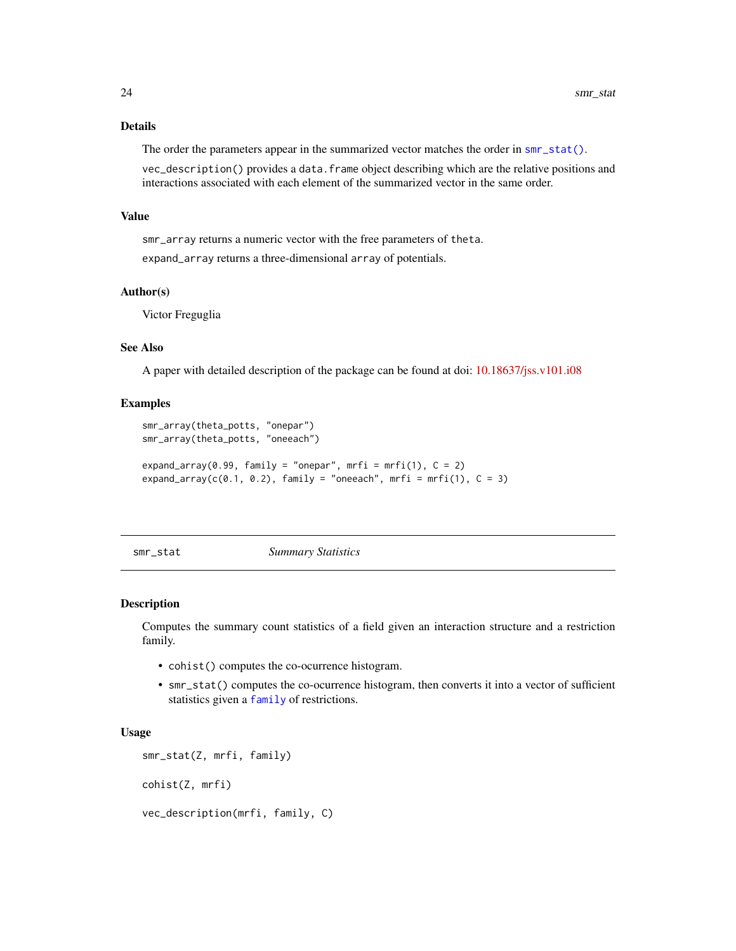# <span id="page-23-0"></span>Details

The order the parameters appear in the summarized vector matches the order in [smr\\_stat\(\)](#page-23-1).

vec\_description() provides a data.frame object describing which are the relative positions and interactions associated with each element of the summarized vector in the same order.

#### Value

smr\_array returns a numeric vector with the free parameters of theta.

expand\_array returns a three-dimensional array of potentials.

#### Author(s)

Victor Freguglia

#### See Also

A paper with detailed description of the package can be found at doi: [10.18637/jss.v101.i08](https://doi.org/10.18637/jss.v101.i08)

#### Examples

```
smr_array(theta_potts, "onepar")
smr_array(theta_potts, "oneeach")
expand_array(0.99, family = "onepar", mrfi = mrfi(1), C = 2)
expand_array(c(0.1, 0.2), family = "oneeach", mrfi = mrfi(1), C = 3)
```
<span id="page-23-1"></span>

smr\_stat *Summary Statistics*

#### Description

Computes the summary count statistics of a field given an interaction structure and a restriction family.

- cohist() computes the co-ocurrence histogram.
- smr\_stat() computes the co-ocurrence histogram, then converts it into a vector of sufficient statistics given a [family](#page-12-1) of restrictions.

#### Usage

```
smr_stat(Z, mrfi, family)
cohist(Z, mrfi)
```
vec\_description(mrfi, family, C)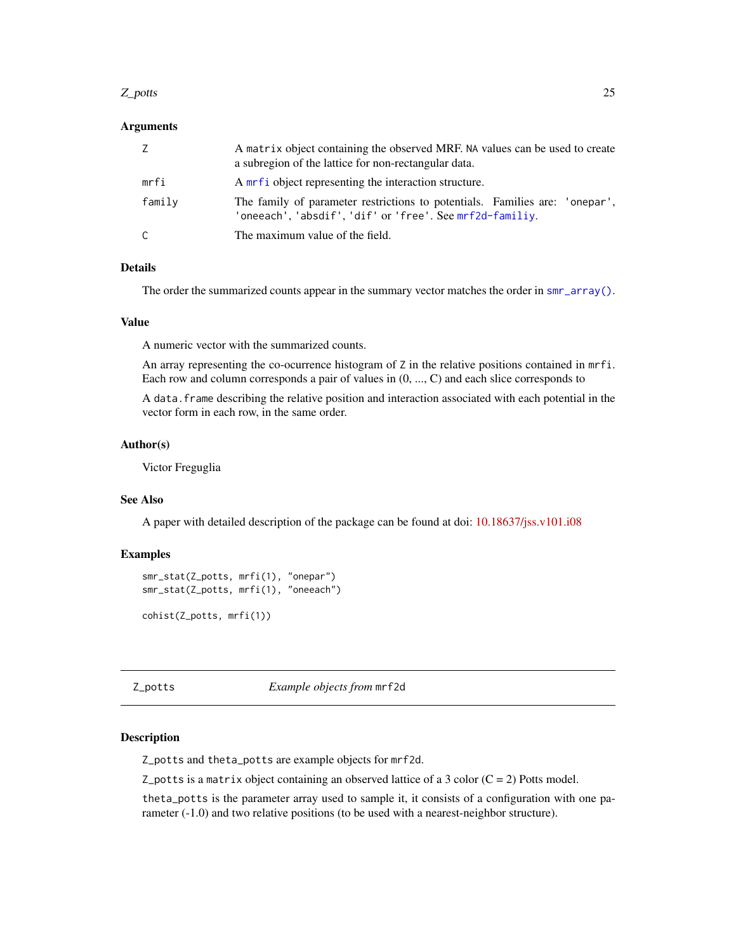#### <span id="page-24-0"></span>Z\_potts 25

#### Arguments

| Z      | A matrix object containing the observed MRF. NA values can be used to create<br>a subregion of the lattice for non-rectangular data.    |
|--------|-----------------------------------------------------------------------------------------------------------------------------------------|
| mrfi   | A mrf i object representing the interaction structure.                                                                                  |
| family | The family of parameter restrictions to potentials. Families are: 'onepar',<br>'oneeach', 'absdif', 'dif' or 'free'. See mrf2d-familiy. |
| C      | The maximum value of the field.                                                                                                         |

# Details

The order the summarized counts appear in the summary vector matches the order in [smr\\_array\(\)](#page-22-1).

#### Value

A numeric vector with the summarized counts.

An array representing the co-ocurrence histogram of Z in the relative positions contained in mrfi. Each row and column corresponds a pair of values in (0, ..., C) and each slice corresponds to

A data.frame describing the relative position and interaction associated with each potential in the vector form in each row, in the same order.

# Author(s)

Victor Freguglia

#### See Also

A paper with detailed description of the package can be found at doi: [10.18637/jss.v101.i08](https://doi.org/10.18637/jss.v101.i08)

#### Examples

```
smr_stat(Z_potts, mrfi(1), "onepar")
smr_stat(Z_potts, mrfi(1), "oneeach")
```

```
cohist(Z_potts, mrfi(1))
```
Z\_potts *Example objects from* mrf2d

# Description

Z\_potts and theta\_potts are example objects for mrf2d.

Z\_potts is a matrix object containing an observed lattice of a 3 color  $(C = 2)$  Potts model.

theta\_potts is the parameter array used to sample it, it consists of a configuration with one parameter (-1.0) and two relative positions (to be used with a nearest-neighbor structure).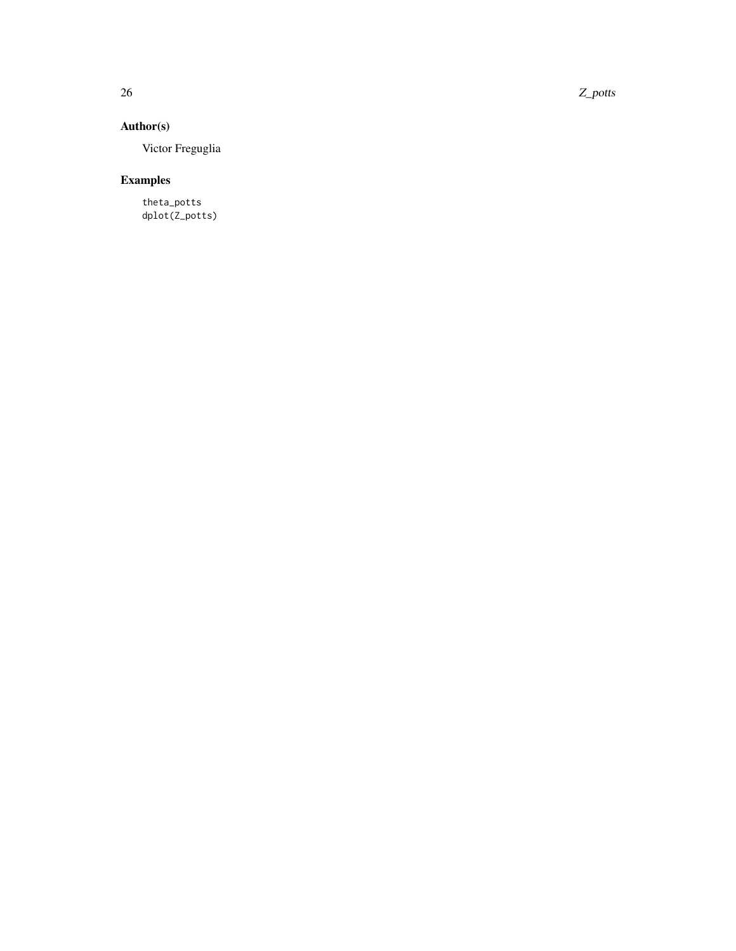26 Z\_potts

# Author(s)

Victor Freguglia

# Examples

theta\_potts dplot(Z\_potts)